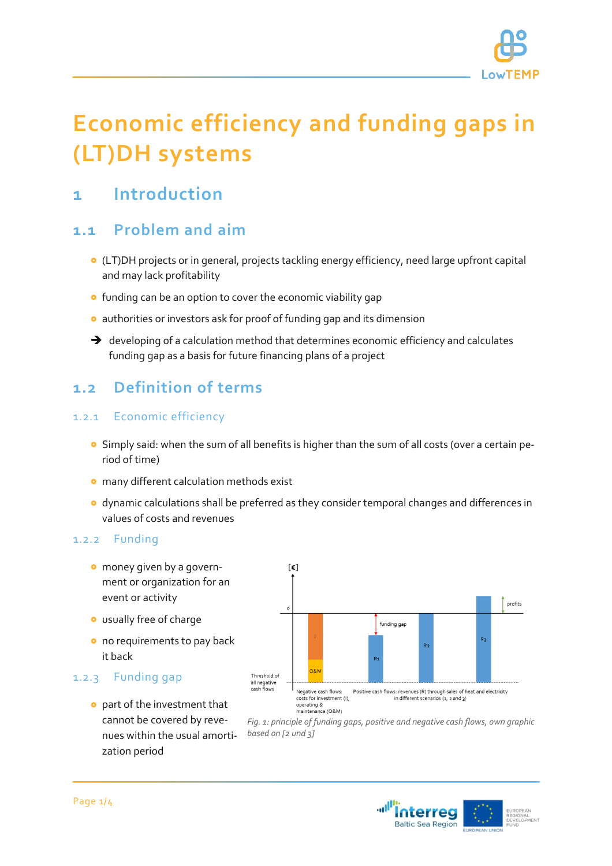

# **Economic efficiency and funding gaps in (LT)DH systems**

## **1 Introduction**

### **1.1 Problem and aim**

- (LT)DH projects or in general, projects tackling energy efficiency, need large upfront capital and may lack profitability
- **o** funding can be an option to cover the economic viability gap
- authorities or investors ask for proof of funding gap and its dimension
- $\rightarrow$  developing of a calculation method that determines economic efficiency and calculates funding gap as a basis for future financing plans of a project

## **1.2 Definition of terms**

#### 1.2.1 Economic efficiency

- Simply said: when the sum of all benefits is higher than the sum of all costs (over a certain period of time)
- **o** many different calculation methods exist
- dynamic calculations shall be preferred as they consider temporal changes and differences in values of costs and revenues

 $[\epsilon]$ 

#### 1.2.2 Funding

- **o** money given by a government or organization for an event or activity
- usually free of charge
- o no requirements to pay back it back

### 1.2.3 Funding gap

 part of the investment that cannot be covered by revenues within the usual amortization period



*Fig. 1: principle of funding gaps, positive and negative cash flows, own graphic based on [2 und 3]*

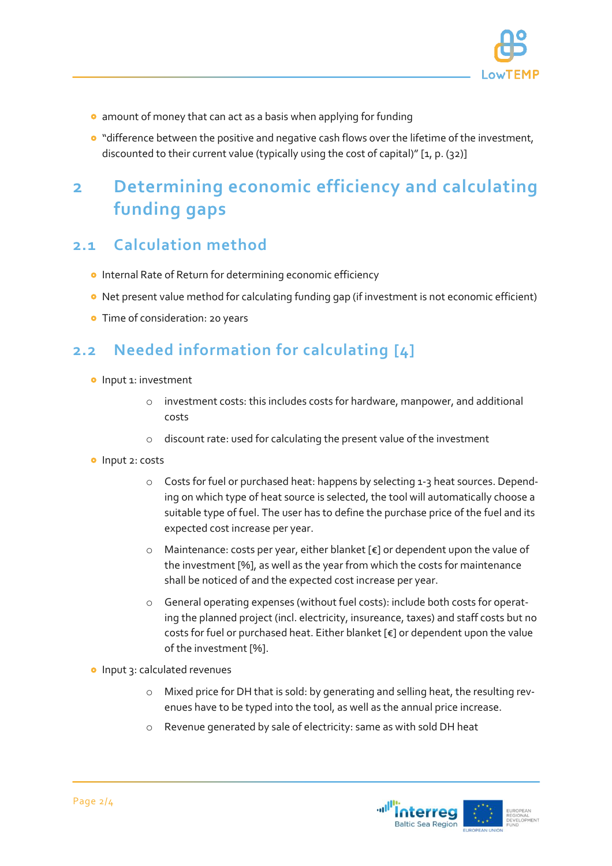

- **•** amount of money that can act as a basis when applying for funding
- **o** "difference between the positive and negative cash flows over the lifetime of the investment, discounted to their current value (typically using the cost of capital)" [1, p. (32)]

## **2 Determining economic efficiency and calculating funding gaps**

## **2.1 Calculation method**

- **o** Internal Rate of Return for determining economic efficiency
- **•** Net present value method for calculating funding gap (if investment is not economic efficient)
- **•** Time of consideration: 20 years

## **2.2 Needed information for calculating [4]**

- **o** Input 1: investment
	- o investment costs: this includes costs for hardware, manpower, and additional costs
	- o discount rate: used for calculating the present value of the investment
- **o** Input 2: costs
	- o Costs for fuel or purchased heat: happens by selecting 1-3 heat sources. Depending on which type of heat source is selected, the tool will automatically choose a suitable type of fuel. The user has to define the purchase price of the fuel and its expected cost increase per year.
	- $\circ$  Maintenance: costs per year, either blanket [ $\varepsilon$ ] or dependent upon the value of the investment [%], as well as the year from which the costs for maintenance shall be noticed of and the expected cost increase per year.
	- o General operating expenses (without fuel costs): include both costs for operating the planned project (incl. electricity, insureance, taxes) and staff costs but no costs for fuel or purchased heat. Either blanket [€] or dependent upon the value of the investment [%].
- **o** Input 3: calculated revenues
	- o Mixed price for DH that is sold: by generating and selling heat, the resulting revenues have to be typed into the tool, as well as the annual price increase.
	- o Revenue generated by sale of electricity: same as with sold DH heat

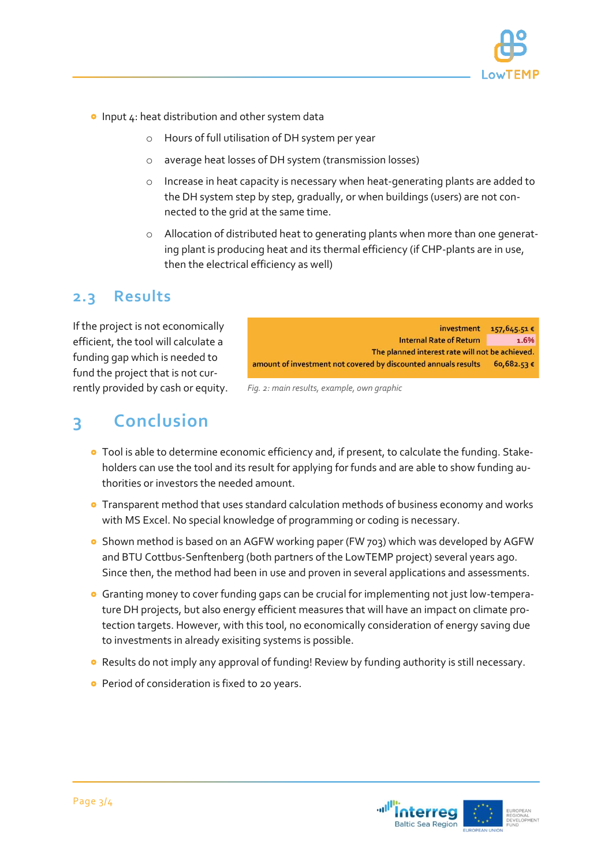

- $\bullet$  Input 4: heat distribution and other system data
	- o Hours of full utilisation of DH system per year
	- o average heat losses of DH system (transmission losses)
	- o Increase in heat capacity is necessary when heat-generating plants are added to the DH system step by step, gradually, or when buildings (users) are not connected to the grid at the same time.
	- o Allocation of distributed heat to generating plants when more than one generating plant is producing heat and its thermal efficiency (if CHP-plants are in use, then the electrical efficiency as well)

### **2.3 Results**

If the project is not economically efficient, the tool will calculate a funding gap which is needed to fund the project that is not currently provided by cash or equity.

investment 157,645.51€ Internal Rate of Return 1.6% The planned interest rate will not be achieved. amount of investment not covered by discounted annuals results 60,682.53 €

*Fig. 2: main results, example, own graphic*

## **3 Conclusion**

- **o** Tool is able to determine economic efficiency and, if present, to calculate the funding. Stakeholders can use the tool and its result for applying for funds and are able to show funding authorities or investors the needed amount.
- **•** Transparent method that uses standard calculation methods of business economy and works with MS Excel. No special knowledge of programming or coding is necessary.
- **O** Shown method is based on an AGFW working paper (FW 703) which was developed by AGFW and BTU Cottbus-Senftenberg (both partners of the LowTEMP project) several years ago. Since then, the method had been in use and proven in several applications and assessments.
- Granting money to cover funding gaps can be crucial for implementing not just low-temperature DH projects, but also energy efficient measures that will have an impact on climate protection targets. However, with this tool, no economically consideration of energy saving due to investments in already exisiting systems is possible.
- Results do not imply any approval of funding! Review by funding authority is still necessary.
- **Period of consideration is fixed to 20 years.**